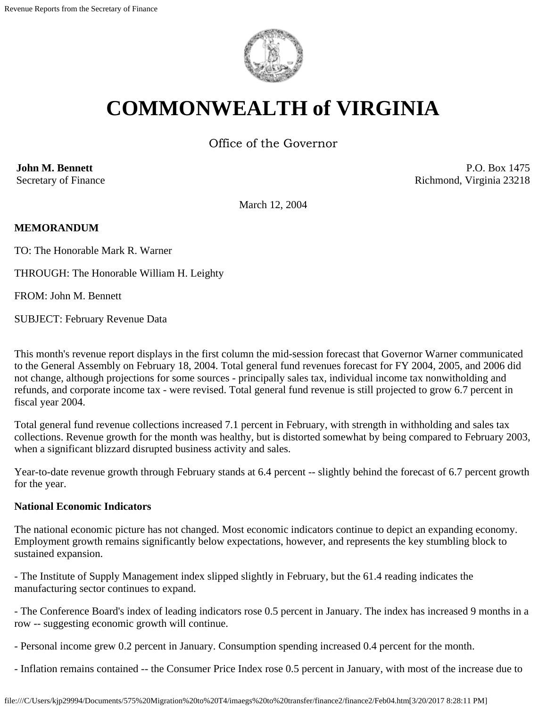

# **COMMONWEALTH of VIRGINIA**

Office of the Governor

**John M. Bennett** Secretary of Finance

P.O. Box 1475 Richmond, Virginia 23218

March 12, 2004

## **MEMORANDUM**

TO: The Honorable Mark R. Warner

THROUGH: The Honorable William H. Leighty

FROM: John M. Bennett

SUBJECT: February Revenue Data

This month's revenue report displays in the first column the mid-session forecast that Governor Warner communicated to the General Assembly on February 18, 2004. Total general fund revenues forecast for FY 2004, 2005, and 2006 did not change, although projections for some sources - principally sales tax, individual income tax nonwitholding and refunds, and corporate income tax - were revised. Total general fund revenue is still projected to grow 6.7 percent in fiscal year 2004.

Total general fund revenue collections increased 7.1 percent in February, with strength in withholding and sales tax collections. Revenue growth for the month was healthy, but is distorted somewhat by being compared to February 2003, when a significant blizzard disrupted business activity and sales.

Year-to-date revenue growth through February stands at 6.4 percent -- slightly behind the forecast of 6.7 percent growth for the year.

## **National Economic Indicators**

The national economic picture has not changed. Most economic indicators continue to depict an expanding economy. Employment growth remains significantly below expectations, however, and represents the key stumbling block to sustained expansion.

- The Institute of Supply Management index slipped slightly in February, but the 61.4 reading indicates the manufacturing sector continues to expand.

- The Conference Board's index of leading indicators rose 0.5 percent in January. The index has increased 9 months in a row -- suggesting economic growth will continue.

- Personal income grew 0.2 percent in January. Consumption spending increased 0.4 percent for the month.
- Inflation remains contained -- the Consumer Price Index rose 0.5 percent in January, with most of the increase due to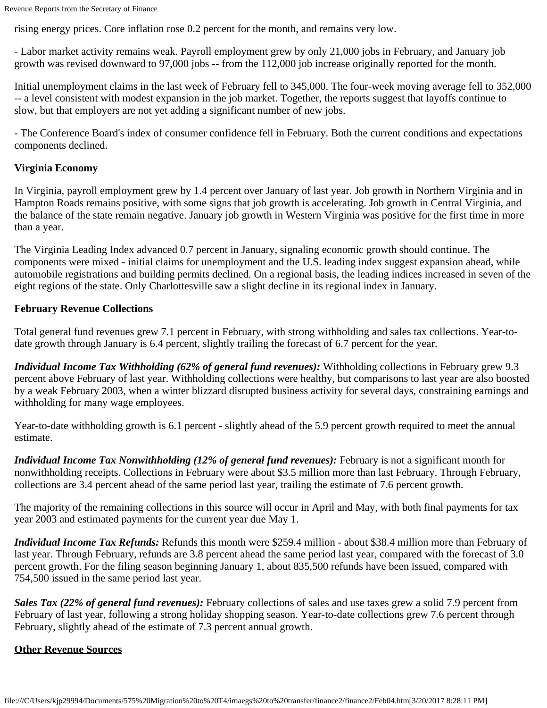Revenue Reports from the Secretary of Finance

rising energy prices. Core inflation rose 0.2 percent for the month, and remains very low.

- Labor market activity remains weak. Payroll employment grew by only 21,000 jobs in February, and January job growth was revised downward to 97,000 jobs -- from the 112,000 job increase originally reported for the month.

Initial unemployment claims in the last week of February fell to 345,000. The four-week moving average fell to 352,000 -- a level consistent with modest expansion in the job market. Together, the reports suggest that layoffs continue to slow, but that employers are not yet adding a significant number of new jobs.

- The Conference Board's index of consumer confidence fell in February. Both the current conditions and expectations components declined.

# **Virginia Economy**

In Virginia, payroll employment grew by 1.4 percent over January of last year. Job growth in Northern Virginia and in Hampton Roads remains positive, with some signs that job growth is accelerating. Job growth in Central Virginia, and the balance of the state remain negative. January job growth in Western Virginia was positive for the first time in more than a year.

The Virginia Leading Index advanced 0.7 percent in January, signaling economic growth should continue. The components were mixed - initial claims for unemployment and the U.S. leading index suggest expansion ahead, while automobile registrations and building permits declined. On a regional basis, the leading indices increased in seven of the eight regions of the state. Only Charlottesville saw a slight decline in its regional index in January.

## **February Revenue Collections**

Total general fund revenues grew 7.1 percent in February, with strong withholding and sales tax collections. Year-todate growth through January is 6.4 percent, slightly trailing the forecast of 6.7 percent for the year.

*Individual Income Tax Withholding (62% of general fund revenues):* Withholding collections in February grew 9.3 percent above February of last year. Withholding collections were healthy, but comparisons to last year are also boosted by a weak February 2003, when a winter blizzard disrupted business activity for several days, constraining earnings and withholding for many wage employees.

Year-to-date withholding growth is 6.1 percent - slightly ahead of the 5.9 percent growth required to meet the annual estimate.

*Individual Income Tax Nonwithholding (12% of general fund revenues):* February is not a significant month for nonwithholding receipts. Collections in February were about \$3.5 million more than last February. Through February, collections are 3.4 percent ahead of the same period last year, trailing the estimate of 7.6 percent growth.

The majority of the remaining collections in this source will occur in April and May, with both final payments for tax year 2003 and estimated payments for the current year due May 1.

*Individual Income Tax Refunds:* Refunds this month were \$259.4 million - about \$38.4 million more than February of last year. Through February, refunds are 3.8 percent ahead the same period last year, compared with the forecast of 3.0 percent growth. For the filing season beginning January 1, about 835,500 refunds have been issued, compared with 754,500 issued in the same period last year.

*Sales Tax (22% of general fund revenues):* February collections of sales and use taxes grew a solid 7.9 percent from February of last year, following a strong holiday shopping season. Year-to-date collections grew 7.6 percent through February, slightly ahead of the estimate of 7.3 percent annual growth.

## **Other Revenue Sources**